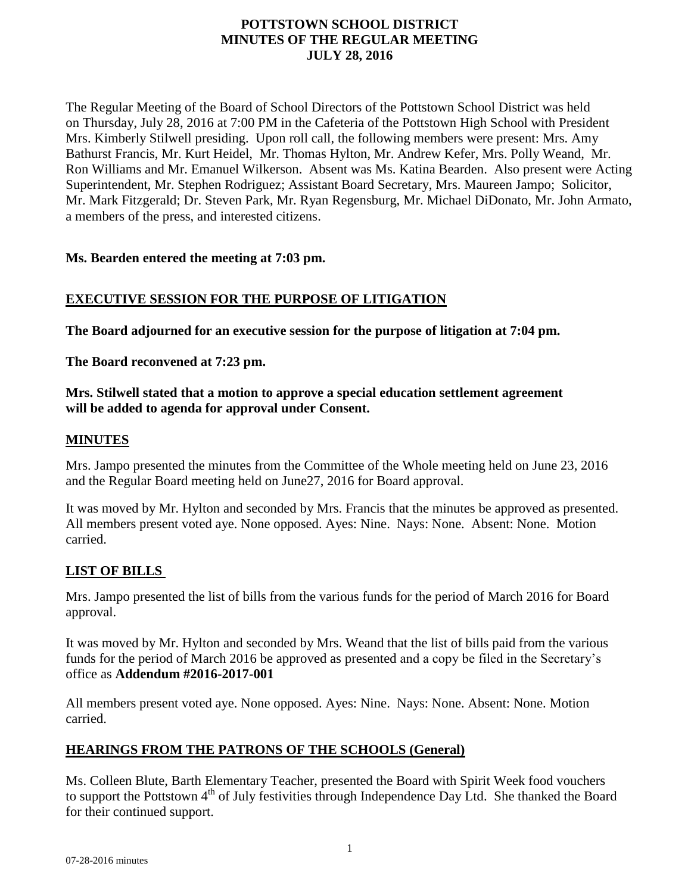# **POTTSTOWN SCHOOL DISTRICT MINUTES OF THE REGULAR MEETING JULY 28, 2016**

The Regular Meeting of the Board of School Directors of the Pottstown School District was held on Thursday, July 28, 2016 at 7:00 PM in the Cafeteria of the Pottstown High School with President Mrs. Kimberly Stilwell presiding. Upon roll call, the following members were present: Mrs. Amy Bathurst Francis, Mr. Kurt Heidel, Mr. Thomas Hylton, Mr. Andrew Kefer, Mrs. Polly Weand, Mr. Ron Williams and Mr. Emanuel Wilkerson. Absent was Ms. Katina Bearden. Also present were Acting Superintendent, Mr. Stephen Rodriguez; Assistant Board Secretary, Mrs. Maureen Jampo; Solicitor, Mr. Mark Fitzgerald; Dr. Steven Park, Mr. Ryan Regensburg, Mr. Michael DiDonato, Mr. John Armato, a members of the press, and interested citizens.

### **Ms. Bearden entered the meeting at 7:03 pm.**

# **EXECUTIVE SESSION FOR THE PURPOSE OF LITIGATION**

**The Board adjourned for an executive session for the purpose of litigation at 7:04 pm.**

**The Board reconvened at 7:23 pm.**

### **Mrs. Stilwell stated that a motion to approve a special education settlement agreement will be added to agenda for approval under Consent.**

### **MINUTES**

Mrs. Jampo presented the minutes from the Committee of the Whole meeting held on June 23, 2016 and the Regular Board meeting held on June27, 2016 for Board approval.

It was moved by Mr. Hylton and seconded by Mrs. Francis that the minutes be approved as presented. All members present voted aye. None opposed. Ayes: Nine. Nays: None. Absent: None. Motion carried.

# **LIST OF BILLS**

Mrs. Jampo presented the list of bills from the various funds for the period of March 2016 for Board approval.

It was moved by Mr. Hylton and seconded by Mrs. Weand that the list of bills paid from the various funds for the period of March 2016 be approved as presented and a copy be filed in the Secretary's office as **Addendum #2016-2017-001**

All members present voted aye. None opposed. Ayes: Nine. Nays: None. Absent: None. Motion carried.

# **HEARINGS FROM THE PATRONS OF THE SCHOOLS (General)**

Ms. Colleen Blute, Barth Elementary Teacher, presented the Board with Spirit Week food vouchers to support the Pottstown 4<sup>th</sup> of July festivities through Independence Day Ltd. She thanked the Board for their continued support.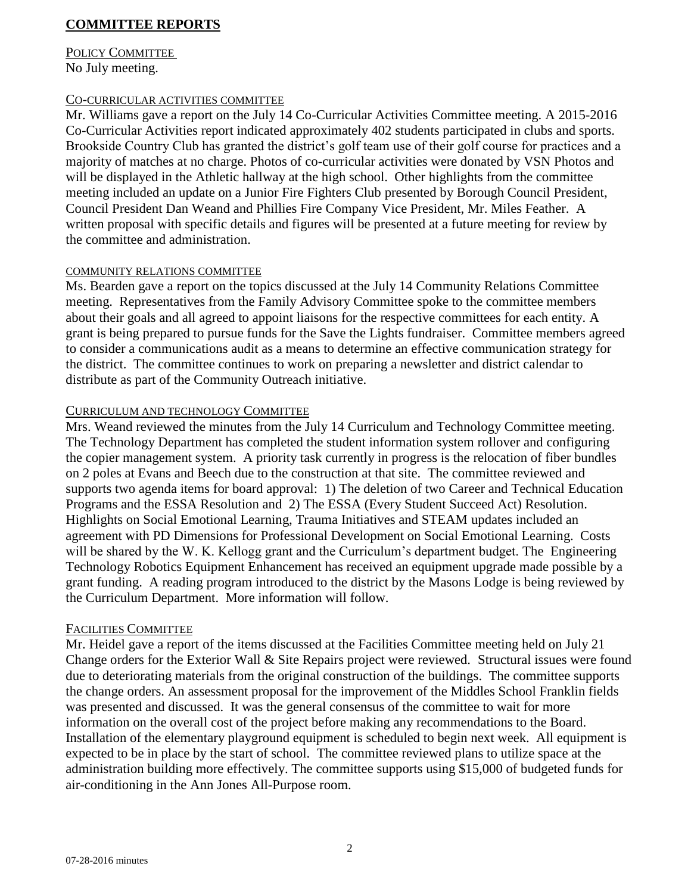# **COMMITTEE REPORTS**

#### POLICY COMMITTEE No July meeting.

#### CO-CURRICULAR ACTIVITIES COMMITTEE

Mr. Williams gave a report on the July 14 Co-Curricular Activities Committee meeting. A 2015-2016 Co-Curricular Activities report indicated approximately 402 students participated in clubs and sports. Brookside Country Club has granted the district's golf team use of their golf course for practices and a majority of matches at no charge. Photos of co-curricular activities were donated by VSN Photos and will be displayed in the Athletic hallway at the high school. Other highlights from the committee meeting included an update on a Junior Fire Fighters Club presented by Borough Council President, Council President Dan Weand and Phillies Fire Company Vice President, Mr. Miles Feather. A written proposal with specific details and figures will be presented at a future meeting for review by the committee and administration.

#### COMMUNITY RELATIONS COMMITTEE

Ms. Bearden gave a report on the topics discussed at the July 14 Community Relations Committee meeting. Representatives from the Family Advisory Committee spoke to the committee members about their goals and all agreed to appoint liaisons for the respective committees for each entity. A grant is being prepared to pursue funds for the Save the Lights fundraiser. Committee members agreed to consider a communications audit as a means to determine an effective communication strategy for the district. The committee continues to work on preparing a newsletter and district calendar to distribute as part of the Community Outreach initiative.

#### CURRICULUM AND TECHNOLOGY COMMITTEE

Mrs. Weand reviewed the minutes from the July 14 Curriculum and Technology Committee meeting. The Technology Department has completed the student information system rollover and configuring the copier management system. A priority task currently in progress is the relocation of fiber bundles on 2 poles at Evans and Beech due to the construction at that site. The committee reviewed and supports two agenda items for board approval: 1) The deletion of two Career and Technical Education Programs and the ESSA Resolution and 2) The ESSA (Every Student Succeed Act) Resolution. Highlights on Social Emotional Learning, Trauma Initiatives and STEAM updates included an agreement with PD Dimensions for Professional Development on Social Emotional Learning. Costs will be shared by the W. K. Kellogg grant and the Curriculum's department budget. The Engineering Technology Robotics Equipment Enhancement has received an equipment upgrade made possible by a grant funding. A reading program introduced to the district by the Masons Lodge is being reviewed by the Curriculum Department. More information will follow.

#### FACILITIES COMMITTEE

Mr. Heidel gave a report of the items discussed at the Facilities Committee meeting held on July 21 Change orders for the Exterior Wall & Site Repairs project were reviewed. Structural issues were found due to deteriorating materials from the original construction of the buildings. The committee supports the change orders. An assessment proposal for the improvement of the Middles School Franklin fields was presented and discussed. It was the general consensus of the committee to wait for more information on the overall cost of the project before making any recommendations to the Board. Installation of the elementary playground equipment is scheduled to begin next week. All equipment is expected to be in place by the start of school. The committee reviewed plans to utilize space at the administration building more effectively. The committee supports using \$15,000 of budgeted funds for air-conditioning in the Ann Jones All-Purpose room.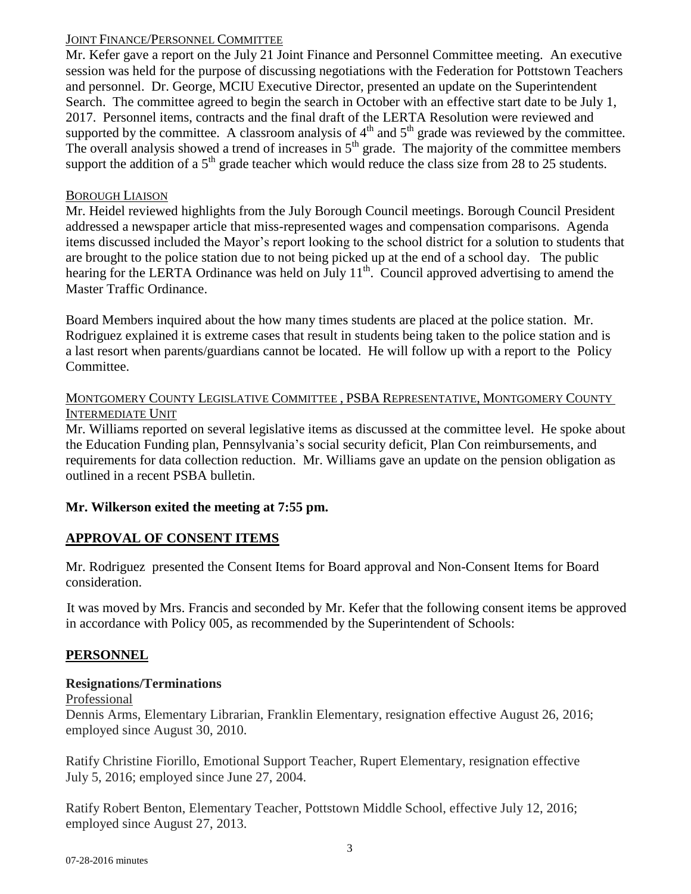### JOINT FINANCE/PERSONNEL COMMITTEE

Mr. Kefer gave a report on the July 21 Joint Finance and Personnel Committee meeting. An executive session was held for the purpose of discussing negotiations with the Federation for Pottstown Teachers and personnel. Dr. George, MCIU Executive Director, presented an update on the Superintendent Search. The committee agreed to begin the search in October with an effective start date to be July 1, 2017. Personnel items, contracts and the final draft of the LERTA Resolution were reviewed and supported by the committee. A classroom analysis of  $4<sup>th</sup>$  and  $5<sup>th</sup>$  grade was reviewed by the committee. The overall analysis showed a trend of increases in  $5<sup>th</sup>$  grade. The majority of the committee members support the addition of a  $5<sup>th</sup>$  grade teacher which would reduce the class size from 28 to 25 students.

### BOROUGH LIAISON

Mr. Heidel reviewed highlights from the July Borough Council meetings. Borough Council President addressed a newspaper article that miss-represented wages and compensation comparisons. Agenda items discussed included the Mayor's report looking to the school district for a solution to students that are brought to the police station due to not being picked up at the end of a school day. The public hearing for the LERTA Ordinance was held on July 11<sup>th</sup>. Council approved advertising to amend the Master Traffic Ordinance.

Board Members inquired about the how many times students are placed at the police station. Mr. Rodriguez explained it is extreme cases that result in students being taken to the police station and is a last resort when parents/guardians cannot be located. He will follow up with a report to the Policy Committee.

### MONTGOMERY COUNTY LEGISLATIVE COMMITTEE , PSBA REPRESENTATIVE, MONTGOMERY COUNTY INTERMEDIATE UNIT

Mr. Williams reported on several legislative items as discussed at the committee level. He spoke about the Education Funding plan, Pennsylvania's social security deficit, Plan Con reimbursements, and requirements for data collection reduction. Mr. Williams gave an update on the pension obligation as outlined in a recent PSBA bulletin.

# **Mr. Wilkerson exited the meeting at 7:55 pm.**

# **APPROVAL OF CONSENT ITEMS**

Mr. Rodriguez presented the Consent Items for Board approval and Non-Consent Items for Board consideration.

It was moved by Mrs. Francis and seconded by Mr. Kefer that the following consent items be approved in accordance with Policy 005, as recommended by the Superintendent of Schools:

# **PERSONNEL**

# **Resignations/Terminations**

Professional

Dennis Arms, Elementary Librarian, Franklin Elementary, resignation effective August 26, 2016; employed since August 30, 2010.

Ratify Christine Fiorillo, Emotional Support Teacher, Rupert Elementary, resignation effective July 5, 2016; employed since June 27, 2004.

Ratify Robert Benton, Elementary Teacher, Pottstown Middle School, effective July 12, 2016; employed since August 27, 2013.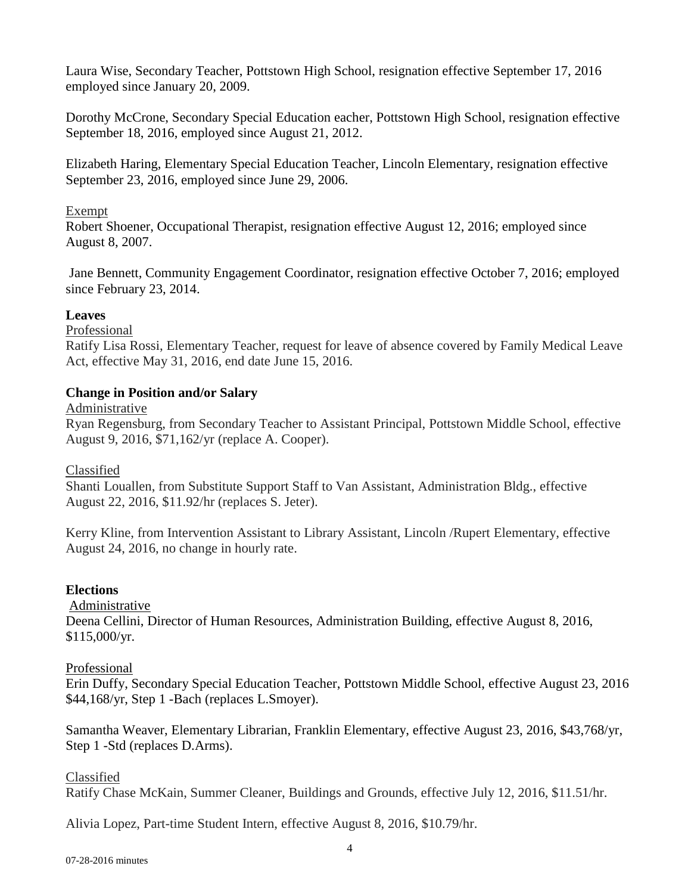Laura Wise, Secondary Teacher, Pottstown High School, resignation effective September 17, 2016 employed since January 20, 2009.

Dorothy McCrone, Secondary Special Education eacher, Pottstown High School, resignation effective September 18, 2016, employed since August 21, 2012.

Elizabeth Haring, Elementary Special Education Teacher, Lincoln Elementary, resignation effective September 23, 2016, employed since June 29, 2006.

### Exempt

Robert Shoener, Occupational Therapist, resignation effective August 12, 2016; employed since August 8, 2007.

Jane Bennett, Community Engagement Coordinator, resignation effective October 7, 2016; employed since February 23, 2014.

# **Leaves**

Professional

Ratify Lisa Rossi, Elementary Teacher, request for leave of absence covered by Family Medical Leave Act, effective May 31, 2016, end date June 15, 2016.

# **Change in Position and/or Salary**

Administrative

Ryan Regensburg, from Secondary Teacher to Assistant Principal, Pottstown Middle School, effective August 9, 2016, \$71,162/yr (replace A. Cooper).

Classified

Shanti Louallen, from Substitute Support Staff to Van Assistant, Administration Bldg., effective August 22, 2016, \$11.92/hr (replaces S. Jeter).

Kerry Kline, from Intervention Assistant to Library Assistant, Lincoln /Rupert Elementary, effective August 24, 2016, no change in hourly rate.

# **Elections**

Administrative

Deena Cellini, Director of Human Resources, Administration Building, effective August 8, 2016, \$115,000/yr.

# Professional

Erin Duffy, Secondary Special Education Teacher, Pottstown Middle School, effective August 23, 2016 \$44,168/yr, Step 1 -Bach (replaces L.Smoyer).

Samantha Weaver, Elementary Librarian, Franklin Elementary, effective August 23, 2016, \$43,768/yr, Step 1 -Std (replaces D.Arms).

Classified Ratify Chase McKain, Summer Cleaner, Buildings and Grounds, effective July 12, 2016, \$11.51/hr.

Alivia Lopez, Part-time Student Intern, effective August 8, 2016, \$10.79/hr.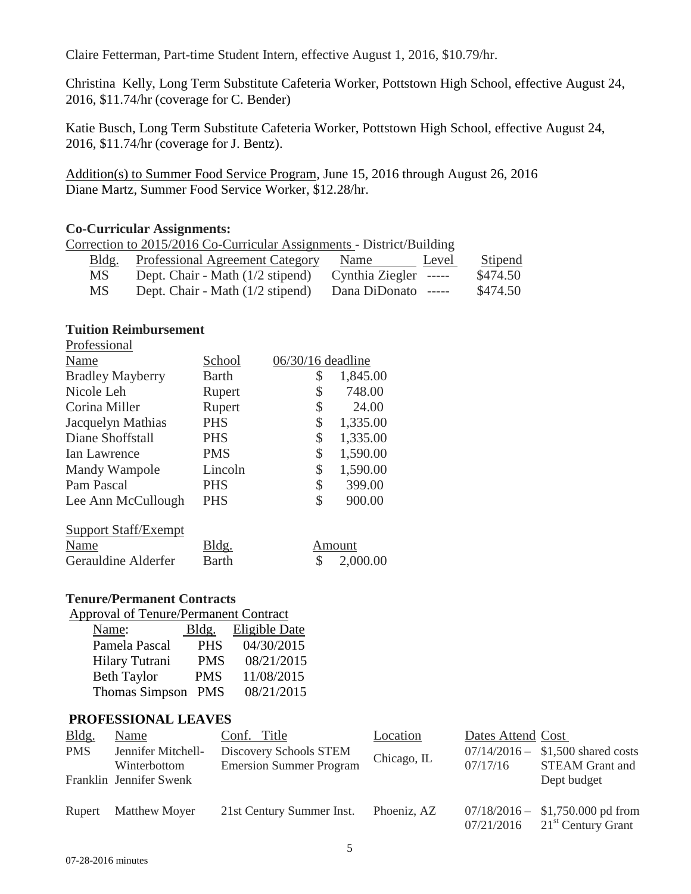Claire Fetterman, Part-time Student Intern, effective August 1, 2016, \$10.79/hr.

Christina Kelly, Long Term Substitute Cafeteria Worker, Pottstown High School, effective August 24, 2016, \$11.74/hr (coverage for C. Bender)

Katie Busch, Long Term Substitute Cafeteria Worker, Pottstown High School, effective August 24, 2016, \$11.74/hr (coverage for J. Bentz).

Addition(s) to Summer Food Service Program, June 15, 2016 through August 26, 2016 Diane Martz, Summer Food Service Worker, \$12.28/hr.

#### **Co-Curricular Assignments:**

| Correction to 2015/2016 Co-Curricular Assignments - District/Building |                                        |                       |       |          |  |
|-----------------------------------------------------------------------|----------------------------------------|-----------------------|-------|----------|--|
| Bldg.                                                                 | <b>Professional Agreement Category</b> | Name                  | Level | Stipend  |  |
| MS.                                                                   | Dept. Chair - Math (1/2 stipend)       | Cynthia Ziegler ----- |       | \$474.50 |  |
| MS.                                                                   | Dept. Chair - Math (1/2 stipend)       | Dana DiDonato -----   |       | \$474.50 |  |

#### **Tuition Reimbursement**

| Professional             |            |                     |          |
|--------------------------|------------|---------------------|----------|
| Name                     | School     | $06/30/16$ deadline |          |
| <b>Bradley Mayberry</b>  | Barth      | \$                  | 1,845.00 |
| Nicole Leh               | Rupert     | \$                  | 748.00   |
| Corina Miller            | Rupert     | \$                  | 24.00    |
| <b>Jacquelyn Mathias</b> | <b>PHS</b> | \$                  | 1,335.00 |
| Diane Shoffstall         | <b>PHS</b> | \$                  | 1,335.00 |
| Ian Lawrence             | <b>PMS</b> | \$                  | 1,590.00 |
| Mandy Wampole            | Lincoln    | \$                  | 1,590.00 |
| Pam Pascal               | <b>PHS</b> | \$                  | 399.00   |
| Lee Ann McCullough       | <b>PHS</b> | S                   | 900.00   |
|                          |            |                     |          |

| <b>Support Staff/Exempt</b> |              |                       |
|-----------------------------|--------------|-----------------------|
| Name                        | Bldg.        | Amount                |
| Gerauldine Alderfer         | <b>Barth</b> | $\frac{\$}{2,000.00}$ |

#### **Tenure/Permanent Contracts**

| Name:                 | Bldg.      | <b>Eligible Date</b> |
|-----------------------|------------|----------------------|
| Pamela Pascal         | <b>PHS</b> | 04/30/2015           |
| Hilary Tutrani        | <b>PMS</b> | 08/21/2015           |
| <b>Beth Taylor</b>    | <b>PMS</b> | 11/08/2015           |
| <b>Thomas Simpson</b> | <b>PMS</b> | 08/21/2015           |

#### **PROFESSIONAL LEAVES**

| Bldg.      | Name                               | Conf. Title                                              | Location    | Dates Attend Cost |                                                                     |
|------------|------------------------------------|----------------------------------------------------------|-------------|-------------------|---------------------------------------------------------------------|
| <b>PMS</b> | Jennifer Mitchell-<br>Winterbottom | Discovery Schools STEM<br><b>Emersion Summer Program</b> | Chicago, IL | 07/17/16          | $07/14/2016 - $1,500$ shared costs<br><b>STEAM Grant and</b>        |
|            | Franklin Jennifer Swenk            |                                                          |             |                   | Dept budget                                                         |
| Rupert     | <b>Matthew Moyer</b>               | 21st Century Summer Inst.                                | Phoeniz, AZ | 07/21/2016        | $07/18/2016 - $1,750.000$ pd from<br>21 <sup>st</sup> Century Grant |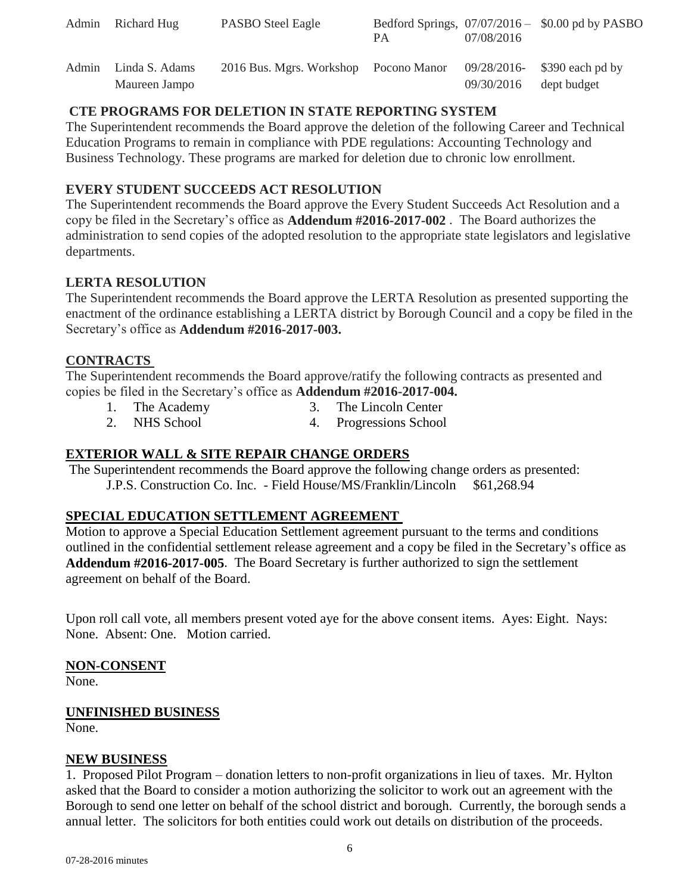| Admin | Richard Hug    | <b>PASBO</b> Steel Eagle              | PA. | 07/08/2016               | Bedford Springs, $07/07/2016 - $0.00$ pd by PASBO |
|-------|----------------|---------------------------------------|-----|--------------------------|---------------------------------------------------|
| Admin | Linda S. Adams | 2016 Bus. Mgrs. Workshop Pocono Manor |     |                          | 09/28/2016- \$390 each pd by                      |
|       | Maureen Jampo  |                                       |     | $09/30/2016$ dept budget |                                                   |

# **CTE PROGRAMS FOR DELETION IN STATE REPORTING SYSTEM**

The Superintendent recommends the Board approve the deletion of the following Career and Technical Education Programs to remain in compliance with PDE regulations: Accounting Technology and Business Technology. These programs are marked for deletion due to chronic low enrollment.

# **EVERY STUDENT SUCCEEDS ACT RESOLUTION**

The Superintendent recommends the Board approve the Every Student Succeeds Act Resolution and a copy be filed in the Secretary's office as **Addendum #2016-2017-002** . The Board authorizes the administration to send copies of the adopted resolution to the appropriate state legislators and legislative departments.

# **LERTA RESOLUTION**

The Superintendent recommends the Board approve the LERTA Resolution as presented supporting the enactment of the ordinance establishing a LERTA district by Borough Council and a copy be filed in the Secretary's office as **Addendum #2016-2017-003.** 

### **CONTRACTS**

The Superintendent recommends the Board approve/ratify the following contracts as presented and copies be filed in the Secretary's office as **Addendum #2016-2017-004.** 

- 1. The Academy 3. The Lincoln Center
- 2. NHS School 4. Progressions School

# **EXTERIOR WALL & SITE REPAIR CHANGE ORDERS**

The Superintendent recommends the Board approve the following change orders as presented: J.P.S. Construction Co. Inc. - Field House/MS/Franklin/Lincoln \$61,268.94

# **SPECIAL EDUCATION SETTLEMENT AGREEMENT**

Motion to approve a Special Education Settlement agreement pursuant to the terms and conditions outlined in the confidential settlement release agreement and a copy be filed in the Secretary's office as **Addendum #2016-2017-005**. The Board Secretary is further authorized to sign the settlement agreement on behalf of the Board.

Upon roll call vote, all members present voted aye for the above consent items. Ayes: Eight. Nays: None. Absent: One. Motion carried.

# **NON-CONSENT**

None.

# **UNFINISHED BUSINESS**

None.

#### **NEW BUSINESS**

1. Proposed Pilot Program – donation letters to non-profit organizations in lieu of taxes. Mr. Hylton asked that the Board to consider a motion authorizing the solicitor to work out an agreement with the Borough to send one letter on behalf of the school district and borough. Currently, the borough sends a annual letter. The solicitors for both entities could work out details on distribution of the proceeds.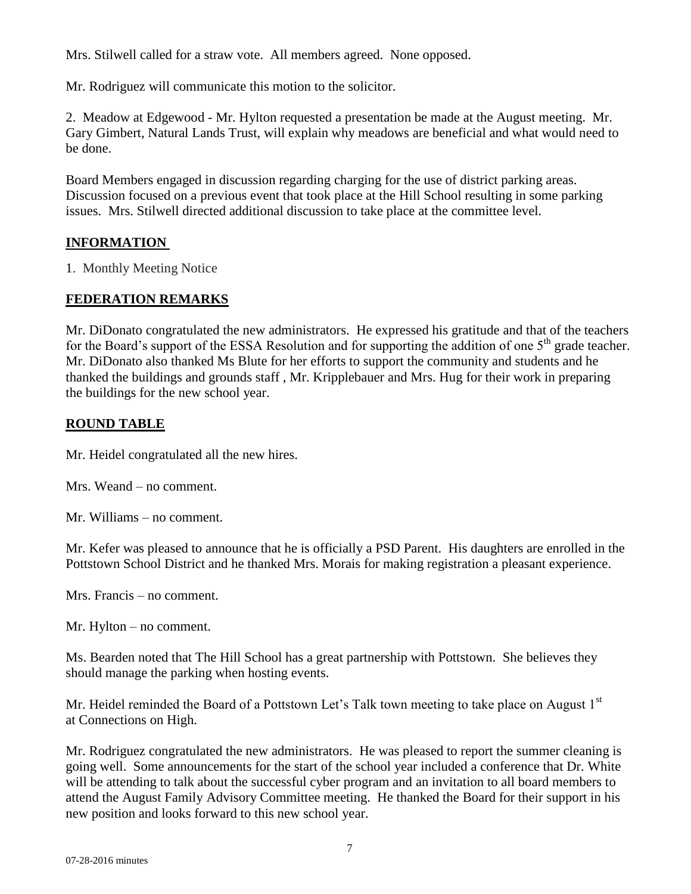Mrs. Stilwell called for a straw vote. All members agreed. None opposed.

Mr. Rodriguez will communicate this motion to the solicitor.

2. Meadow at Edgewood - Mr. Hylton requested a presentation be made at the August meeting. Mr. Gary Gimbert, Natural Lands Trust, will explain why meadows are beneficial and what would need to be done.

Board Members engaged in discussion regarding charging for the use of district parking areas. Discussion focused on a previous event that took place at the Hill School resulting in some parking issues. Mrs. Stilwell directed additional discussion to take place at the committee level.

# **INFORMATION**

1. Monthly Meeting Notice

#### **FEDERATION REMARKS**

Mr. DiDonato congratulated the new administrators. He expressed his gratitude and that of the teachers for the Board's support of the ESSA Resolution and for supporting the addition of one 5<sup>th</sup> grade teacher. Mr. DiDonato also thanked Ms Blute for her efforts to support the community and students and he thanked the buildings and grounds staff , Mr. Kripplebauer and Mrs. Hug for their work in preparing the buildings for the new school year.

### **ROUND TABLE**

Mr. Heidel congratulated all the new hires.

Mrs. Weand – no comment.

Mr. Williams – no comment.

Mr. Kefer was pleased to announce that he is officially a PSD Parent. His daughters are enrolled in the Pottstown School District and he thanked Mrs. Morais for making registration a pleasant experience.

Mrs. Francis – no comment.

Mr. Hylton – no comment.

Ms. Bearden noted that The Hill School has a great partnership with Pottstown. She believes they should manage the parking when hosting events.

Mr. Heidel reminded the Board of a Pottstown Let's Talk town meeting to take place on August 1<sup>st</sup> at Connections on High.

Mr. Rodriguez congratulated the new administrators. He was pleased to report the summer cleaning is going well. Some announcements for the start of the school year included a conference that Dr. White will be attending to talk about the successful cyber program and an invitation to all board members to attend the August Family Advisory Committee meeting. He thanked the Board for their support in his new position and looks forward to this new school year.